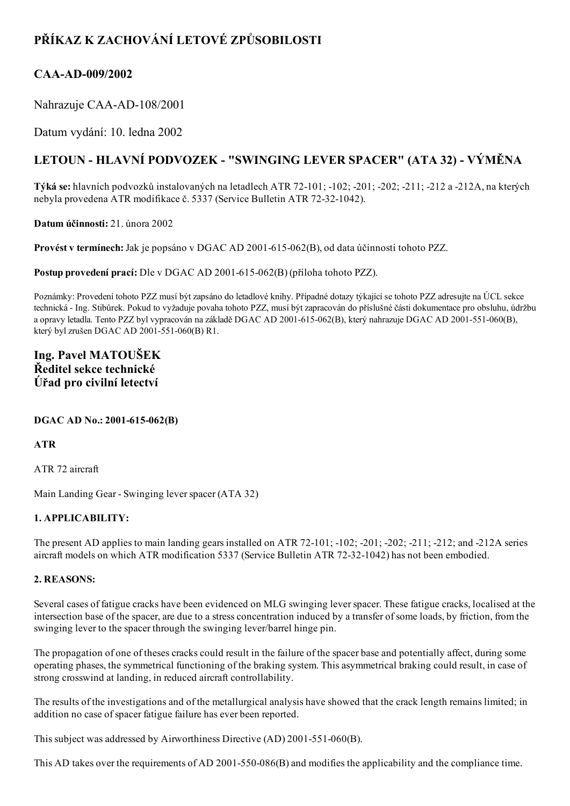# PŘÍKAZ K ZACHOVÁNÍ LETOVÉ ZPŮSOBILOSTI

## CAA-AD-009/2002

Nahrazuje CAA-AD-108/2001

Datum vydání: 10. ledna 2002

# LETOUN - HLAVNÍ PODVOZEK - "SWINGING LEVER SPACER" (ATA 32) - VÝMĚNA

Týká se: hlavních podvozků instalovaných na letadlech ATR 72101; 102; 201; 202; 211; 212 a 212A, na kterých nebyla provedena ATR modifikace č. 5337 (Service Bulletin ATR 72-32-1042).

Datum účinnosti: 21. února 2002

Provést v termínech: Jak je popsáno v DGAC AD 2001-615-062(B), od data účinnosti tohoto PZZ.

Postup provedení prací: Dle v DGAC AD 2001-615-062(B) (příloha tohoto PZZ).

Poznámky: Provedení tohoto PZZ musí být zapsáno do letadlové knihy. Případné dotazy týkající se tohoto PZZ adresujte na ÚCL sekce technická Ing. Stibůrek. Pokud to vyžaduje povaha tohoto PZZ, musí být zapracován do příslušné části dokumentace pro obsluhu, údržbu a opravy letadla. Tento PZZ byl vypracován na základě DGAC AD 2001-615-062(B), který nahrazuje DGAC AD 2001-551-060(B), který byl zrušen DGAC AD 2001-551-060(B) R1.

## Ing. Pavel MATOUŠEK Ředitel sekce technické Úřad pro civilní letectví

### DGAC AD No.: 2001-615-062(B)

ATR

ATR 72 aircraft

Main Landing Gear - Swinging lever spacer (ATA 32)

### 1. APPLICABILITY:

The present AD applies to main landing gears installed on ATR 72-101; -102; -201; -202; -211; -212; and -212A series aircraft models on which ATR modification 5337 (Service Bulletin ATR 72-32-1042) has not been embodied.

#### 2. REASONS:

Several cases of fatigue cracks have been evidenced on MLG swinging leverspacer. These fatigue cracks, localised at the intersection base of the spacer, are due to a stress concentration induced by a transfer ofsome loads, by friction, from the swinging lever to the spacer through the swinging lever/barrel hinge pin.

The propagation of one of theses cracks could result in the failure of the spacer base and potentially affect, during some operating phases, the symmetrical functioning of the braking system. This asymmetrical braking could result, in case of strong crosswind at landing, in reduced aircraft controllability.

The results of the investigations and of the metallurgical analysis have showed that the crack length remains limited; in addition no case of spacer fatigue failure has ever been reported.

This subject was addressed by Airworthiness Directive  $(AD)$  2001-551-060 $(B)$ .

This AD takes over the requirements of AD 2001-550-086(B) and modifies the applicability and the compliance time.